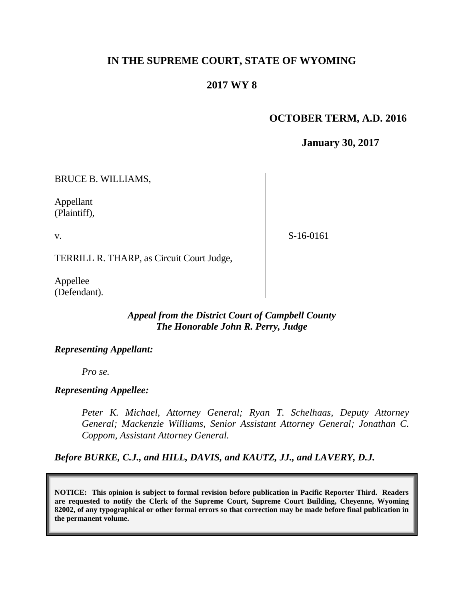# **IN THE SUPREME COURT, STATE OF WYOMING**

# **2017 WY 8**

# **OCTOBER TERM, A.D. 2016**

**January 30, 2017**

BRUCE B. WILLIAMS,

Appellant (Plaintiff),

v.

S-16-0161

TERRILL R. THARP, as Circuit Court Judge,

Appellee (Defendant).

## *Appeal from the District Court of Campbell County The Honorable John R. Perry, Judge*

### *Representing Appellant:*

*Pro se.*

### *Representing Appellee:*

*Peter K. Michael, Attorney General; Ryan T. Schelhaas, Deputy Attorney General; Mackenzie Williams, Senior Assistant Attorney General; Jonathan C. Coppom, Assistant Attorney General.*

*Before BURKE, C.J., and HILL, DAVIS, and KAUTZ, JJ., and LAVERY, D.J.*

**NOTICE: This opinion is subject to formal revision before publication in Pacific Reporter Third. Readers are requested to notify the Clerk of the Supreme Court, Supreme Court Building, Cheyenne, Wyoming 82002, of any typographical or other formal errors so that correction may be made before final publication in the permanent volume.**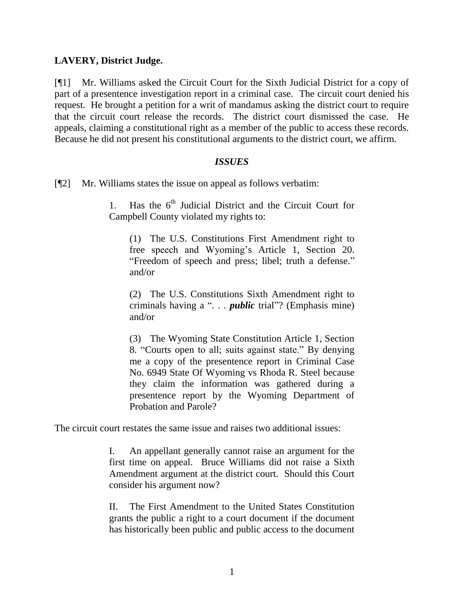## **LAVERY, District Judge.**

[¶1] Mr. Williams asked the Circuit Court for the Sixth Judicial District for a copy of part of a presentence investigation report in a criminal case. The circuit court denied his request. He brought a petition for a writ of mandamus asking the district court to require that the circuit court release the records. The district court dismissed the case. He appeals, claiming a constitutional right as a member of the public to access these records. Because he did not present his constitutional arguments to the district court, we affirm.

### *ISSUES*

[¶2] Mr. Williams states the issue on appeal as follows verbatim:

1. Has the  $6<sup>th</sup>$  Judicial District and the Circuit Court for Campbell County violated my rights to:

(1) The U.S. Constitutions First Amendment right to free speech and Wyoming's Article 1, Section 20. "Freedom of speech and press; libel; truth a defense." and/or

(2) The U.S. Constitutions Sixth Amendment right to criminals having a "*. . . public* trial"? (Emphasis mine) and/or

(3) The Wyoming State Constitution Article 1, Section 8. "Courts open to all; suits against state." By denying me a copy of the presentence report in Criminal Case No. 6949 State Of Wyoming vs Rhoda R. Steel because they claim the information was gathered during a presentence report by the Wyoming Department of Probation and Parole?

The circuit court restates the same issue and raises two additional issues:

I. An appellant generally cannot raise an argument for the first time on appeal. Bruce Williams did not raise a Sixth Amendment argument at the district court. Should this Court consider his argument now?

II. The First Amendment to the United States Constitution grants the public a right to a court document if the document has historically been public and public access to the document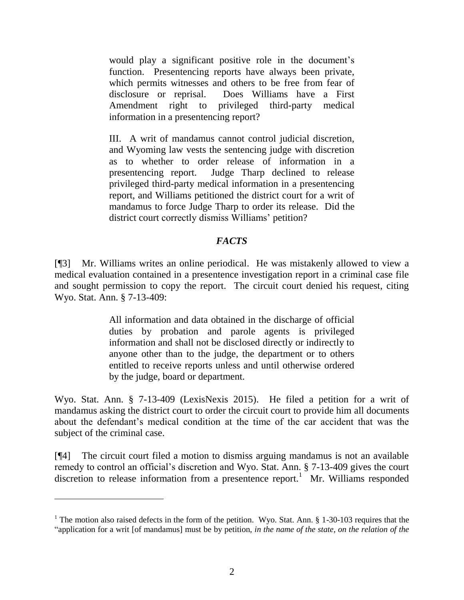would play a significant positive role in the document's function. Presentencing reports have always been private, which permits witnesses and others to be free from fear of disclosure or reprisal. Does Williams have a First Amendment right to privileged third-party medical information in a presentencing report?

III. A writ of mandamus cannot control judicial discretion, and Wyoming law vests the sentencing judge with discretion as to whether to order release of information in a presentencing report. Judge Tharp declined to release privileged third-party medical information in a presentencing report, and Williams petitioned the district court for a writ of mandamus to force Judge Tharp to order its release. Did the district court correctly dismiss Williams' petition?

## *FACTS*

[¶3] Mr. Williams writes an online periodical. He was mistakenly allowed to view a medical evaluation contained in a presentence investigation report in a criminal case file and sought permission to copy the report. The circuit court denied his request, citing Wyo. Stat. Ann. § 7-13-409:

> All information and data obtained in the discharge of official duties by probation and parole agents is privileged information and shall not be disclosed directly or indirectly to anyone other than to the judge, the department or to others entitled to receive reports unless and until otherwise ordered by the judge, board or department.

Wyo. Stat. Ann. § 7-13-409 (LexisNexis 2015). He filed a petition for a writ of mandamus asking the district court to order the circuit court to provide him all documents about the defendant's medical condition at the time of the car accident that was the subject of the criminal case.

[¶4] The circuit court filed a motion to dismiss arguing mandamus is not an available remedy to control an official's discretion and Wyo. Stat. Ann. § 7-13-409 gives the court discretion to release information from a presentence report.<sup>1</sup> Mr. Williams responded

<sup>&</sup>lt;sup>1</sup> The motion also raised defects in the form of the petition. Wyo. Stat. Ann.  $\S$  1-30-103 requires that the "application for a writ [of mandamus] must be by petition, *in the name of the state, on the relation of the*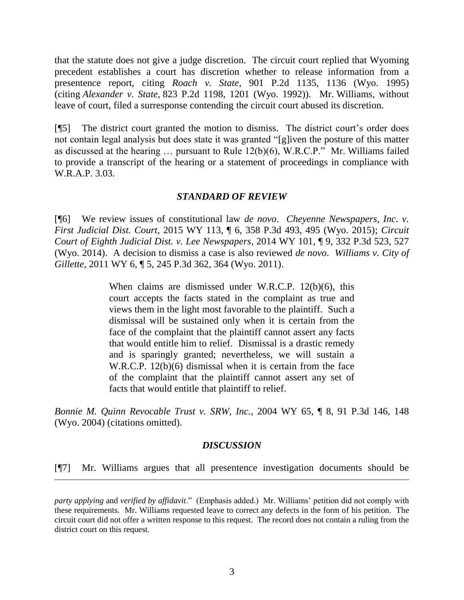that the statute does not give a judge discretion. The circuit court replied that Wyoming precedent establishes a court has discretion whether to release information from a presentence report, citing *Roach v. State*, 901 P.2d 1135, 1136 (Wyo. 1995) (citing *Alexander v. State*, 823 P.2d 1198, 1201 (Wyo. 1992)). Mr. Williams, without leave of court, filed a surresponse contending the circuit court abused its discretion.

[¶5] The district court granted the motion to dismiss. The district court's order does not contain legal analysis but does state it was granted "[g]iven the posture of this matter as discussed at the hearing … pursuant to Rule 12(b)(6), W.R.C.P." Mr. Williams failed to provide a transcript of the hearing or a statement of proceedings in compliance with W.R.A.P. 3.03.

## *STANDARD OF REVIEW*

[¶6] We review issues of constitutional law *de novo*. *Cheyenne Newspapers, Inc. v. First Judicial Dist. Court*, 2015 WY 113, ¶ 6, 358 P.3d 493, 495 (Wyo. 2015); *Circuit Court of Eighth Judicial Dist. v. Lee Newspapers*, 2014 WY 101, ¶ 9, 332 P.3d 523, 527 (Wyo. 2014). A decision to dismiss a case is also reviewed *de novo*. *Williams v. City of Gillette*, 2011 WY 6, ¶ 5, 245 P.3d 362, 364 (Wyo. 2011).

> When claims are dismissed under W.R.C.P. 12(b)(6), this court accepts the facts stated in the complaint as true and views them in the light most favorable to the plaintiff. Such a dismissal will be sustained only when it is certain from the face of the complaint that the plaintiff cannot assert any facts that would entitle him to relief. Dismissal is a drastic remedy and is sparingly granted; nevertheless, we will sustain a W.R.C.P. 12(b)(6) dismissal when it is certain from the face of the complaint that the plaintiff cannot assert any set of facts that would entitle that plaintiff to relief.

*Bonnie M. Quinn Revocable Trust v. SRW, Inc.*, 2004 WY 65, ¶ 8, 91 P.3d 146, 148 (Wyo. 2004) (citations omitted).

### *DISCUSSION*

[¶7] Mr. Williams argues that all presentence investigation documents should be

 $\overline{a}$ 

*party applying* and *verified by affidavit*." (Emphasis added.) Mr. Williams' petition did not comply with these requirements. Mr. Williams requested leave to correct any defects in the form of his petition. The circuit court did not offer a written response to this request. The record does not contain a ruling from the district court on this request.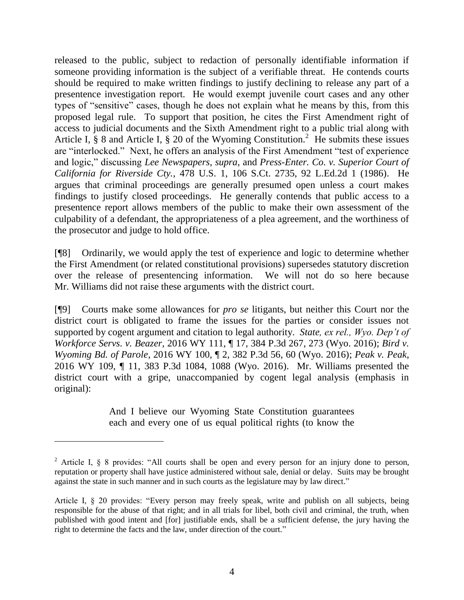released to the public, subject to redaction of personally identifiable information if someone providing information is the subject of a verifiable threat. He contends courts should be required to make written findings to justify declining to release any part of a presentence investigation report. He would exempt juvenile court cases and any other types of "sensitive" cases, though he does not explain what he means by this, from this proposed legal rule. To support that position, he cites the First Amendment right of access to judicial documents and the Sixth Amendment right to a public trial along with Article I,  $\S$  8 and Article I,  $\S$  20 of the Wyoming Constitution.<sup>2</sup> He submits these issues are "interlocked." Next, he offers an analysis of the First Amendment "test of experience and logic," discussing *Lee Newspapers*, *supra*, and *Press-Enter. Co. v. Superior Court of California for Riverside Cty.*, 478 U.S. 1, 106 S.Ct. 2735, 92 L.Ed.2d 1 (1986). He argues that criminal proceedings are generally presumed open unless a court makes findings to justify closed proceedings. He generally contends that public access to a presentence report allows members of the public to make their own assessment of the culpability of a defendant, the appropriateness of a plea agreement, and the worthiness of the prosecutor and judge to hold office.

[¶8] Ordinarily, we would apply the test of experience and logic to determine whether the First Amendment (or related constitutional provisions) supersedes statutory discretion over the release of presentencing information. We will not do so here because Mr. Williams did not raise these arguments with the district court.

[¶9] Courts make some allowances for *pro se* litigants, but neither this Court nor the district court is obligated to frame the issues for the parties or consider issues not supported by cogent argument and citation to legal authority. *State, ex rel., Wyo. Dep't of Workforce Servs. v. Beazer*, 2016 WY 111, ¶ 17, 384 P.3d 267, 273 (Wyo. 2016); *Bird v. Wyoming Bd. of Parole*, 2016 WY 100, ¶ 2, 382 P.3d 56, 60 (Wyo. 2016); *Peak v. Peak*, 2016 WY 109, ¶ 11, 383 P.3d 1084, 1088 (Wyo. 2016). Mr. Williams presented the district court with a gripe, unaccompanied by cogent legal analysis (emphasis in original):

> And I believe our Wyoming State Constitution guarantees each and every one of us equal political rights (to know the

 $\overline{a}$ 

<sup>&</sup>lt;sup>2</sup> Article I, § 8 provides: "All courts shall be open and every person for an injury done to person, reputation or property shall have justice administered without sale, denial or delay. Suits may be brought against the state in such manner and in such courts as the legislature may by law direct."

Article I, § 20 provides: "Every person may freely speak, write and publish on all subjects, being responsible for the abuse of that right; and in all trials for libel, both civil and criminal, the truth, when published with good intent and [for] justifiable ends, shall be a sufficient defense, the jury having the right to determine the facts and the law, under direction of the court."